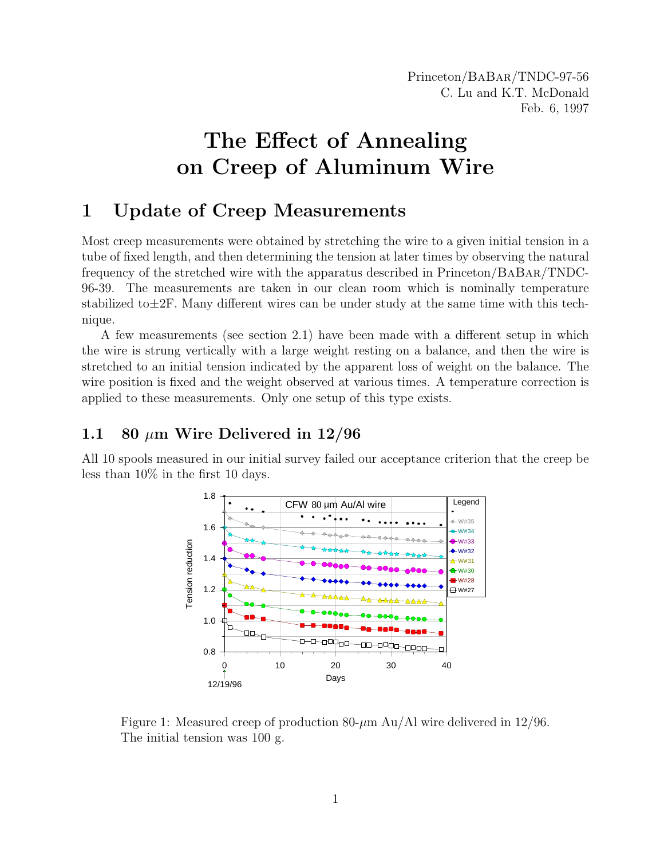Princeton/BaBar/TNDC-97-56 C. Lu and K.T. McDonald Feb. 6, 1997

# The Effect of Annealing on Creep of Aluminum Wire

# 1 Update of Creep Measurements

Most creep measurements were obtained by stretching the wire to a given initial tension in a tube of fixed length, and then determining the tension at later times by observing the natural frequency of the stretched wire with the apparatus described in Princeton/BaBar/TNDC-96-39. The measurements are taken in our clean room which is nominally temperature stabilized to  $\pm 2F$ . Many different wires can be under study at the same time with this technique.

A few measurements (see section 2.1) have been made with a different setup in which the wire is strung vertically with a large weight resting on a balance, and then the wire is stretched to an initial tension indicated by the apparent loss of weight on the balance. The wire position is fixed and the weight observed at various times. A temperature correction is applied to these measurements. Only one setup of this type exists.

## 1.1 80  $\mu$ m Wire Delivered in 12/96

All 10 spools measured in our initial survey failed our acceptance criterion that the creep be less than 10% in the first 10 days.



Figure 1: Measured creep of production 80- $\mu$ m Au/Al wire delivered in 12/96. The initial tension was 100 g.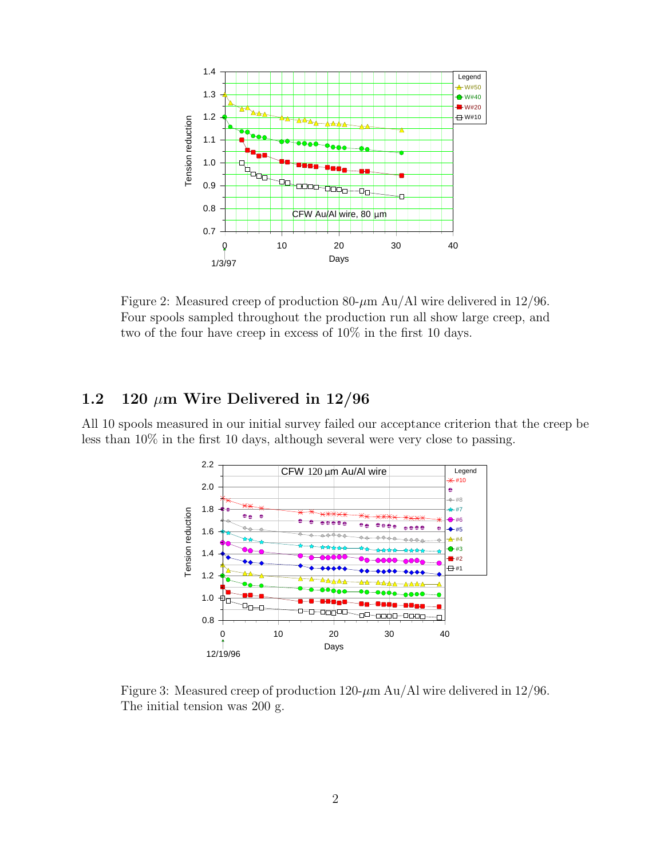

Figure 2: Measured creep of production 80- $\mu$ m Au/Al wire delivered in 12/96. Four spools sampled throughout the production run all show large creep, and two of the four have creep in excess of 10% in the first 10 days.

## 1.2 120  $\mu$ m Wire Delivered in 12/96

All 10 spools measured in our initial survey failed our acceptance criterion that the creep be less than 10% in the first 10 days, although several were very close to passing.



Figure 3: Measured creep of production 120- $\mu$ m Au/Al wire delivered in 12/96. The initial tension was 200 g.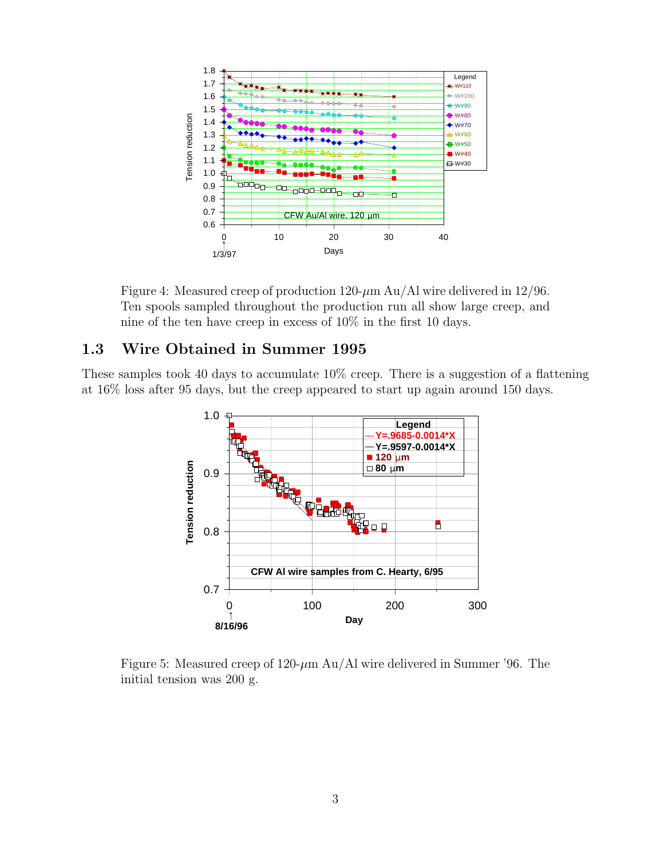

Figure 4: Measured creep of production 120- $\mu$ m Au/Al wire delivered in 12/96. Ten spools sampled throughout the production run all show large creep, and nine of the ten have creep in excess of 10% in the first 10 days.

#### 1.3 Wire Obtained in Summer 1995

These samples took 40 days to accumulate 10% creep. There is a suggestion of a flattening at 16% loss after 95 days, but the creep appeared to start up again around 150 days.



Figure 5: Measured creep of 120- $\mu$ m Au/Al wire delivered in Summer '96. The initial tension was 200 g.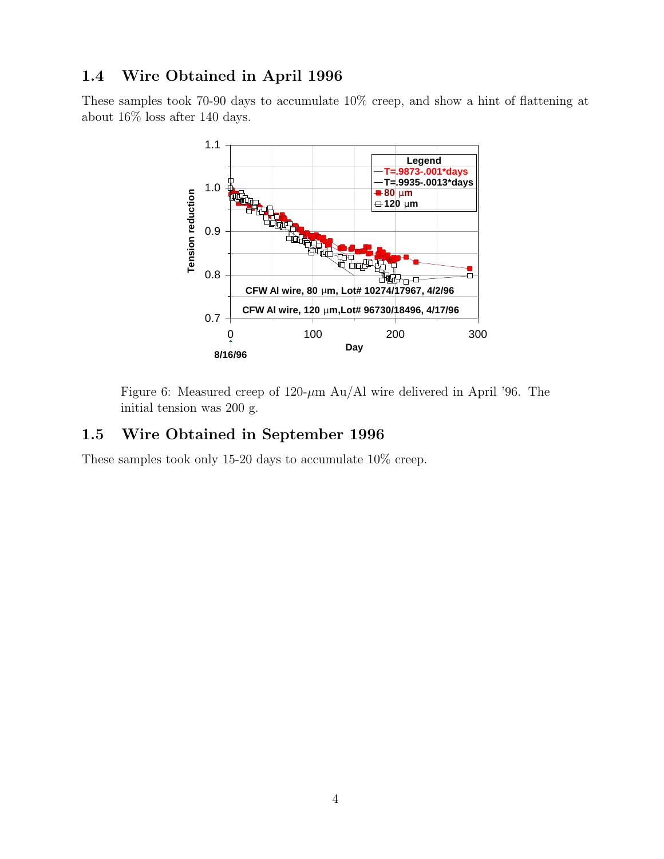## 1.4 Wire Obtained in April 1996

These samples took 70-90 days to accumulate 10% creep, and show a hint of flattening at about 16% loss after 140 days.



Figure 6: Measured creep of  $120-\mu m$  Au/Al wire delivered in April '96. The initial tension was 200 g.

#### 1.5 Wire Obtained in September 1996

These samples took only 15-20 days to accumulate 10% creep.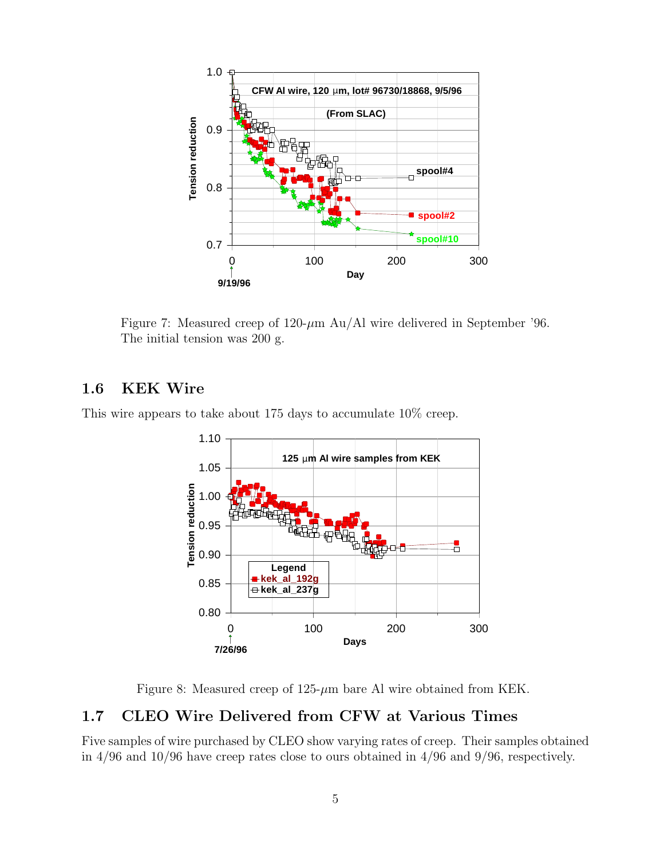

Figure 7: Measured creep of  $120-\mu m$  Au/Al wire delivered in September '96. The initial tension was 200 g.

#### 1.6 KEK Wire

This wire appears to take about 175 days to accumulate 10% creep.



Figure 8: Measured creep of  $125-\mu m$  bare Al wire obtained from KEK.

## 1.7 CLEO Wire Delivered from CFW at Various Times

Five samples of wire purchased by CLEO show varying rates of creep. Their samples obtained in 4/96 and 10/96 have creep rates close to ours obtained in 4/96 and 9/96, respectively.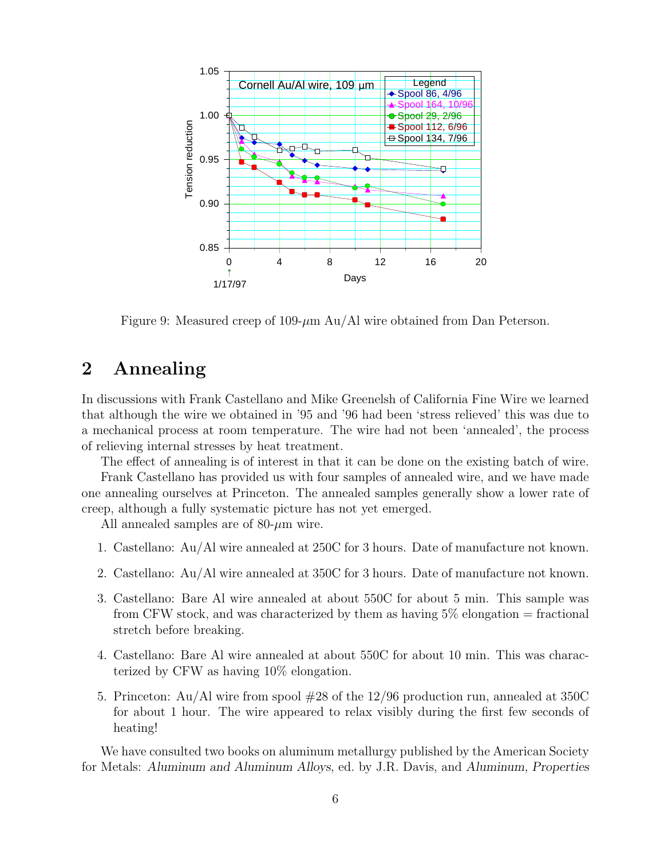

Figure 9: Measured creep of 109- $\mu$ m Au/Al wire obtained from Dan Peterson.

# 2 Annealing

In discussions with Frank Castellano and Mike Greenelsh of California Fine Wire we learned that although the wire we obtained in '95 and '96 had been 'stress relieved' this was due to a mechanical process at room temperature. The wire had not been 'annealed', the process of relieving internal stresses by heat treatment.

The effect of annealing is of interest in that it can be done on the existing batch of wire.

Frank Castellano has provided us with four samples of annealed wire, and we have made one annealing ourselves at Princeton. The annealed samples generally show a lower rate of creep, although a fully systematic picture has not yet emerged.

All annealed samples are of  $80-\mu m$  wire.

- 1. Castellano: Au/Al wire annealed at 250C for 3 hours. Date of manufacture not known.
- 2. Castellano: Au/Al wire annealed at 350C for 3 hours. Date of manufacture not known.
- 3. Castellano: Bare Al wire annealed at about 550C for about 5 min. This sample was from CFW stock, and was characterized by them as having  $5\%$  elongation = fractional stretch before breaking.
- 4. Castellano: Bare Al wire annealed at about 550C for about 10 min. This was characterized by CFW as having 10% elongation.
- 5. Princeton: Au/Al wire from spool #28 of the 12/96 production run, annealed at 350C for about 1 hour. The wire appeared to relax visibly during the first few seconds of heating!

We have consulted two books on aluminum metallurgy published by the American Society for Metals: Aluminum and Aluminum Alloys, ed. by J.R. Davis, and Aluminum, Properties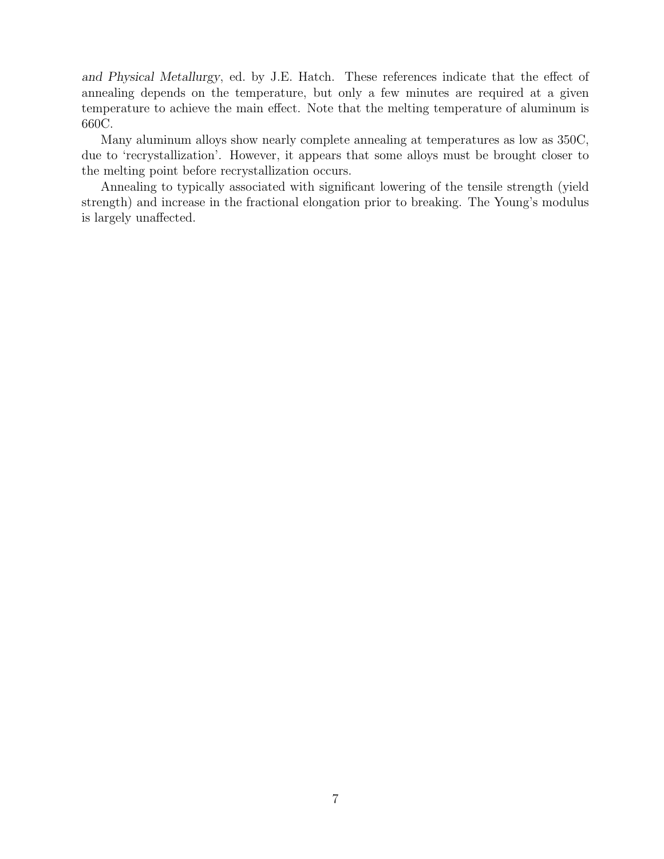and Physical Metallurgy, ed. by J.E. Hatch. These references indicate that the effect of annealing depends on the temperature, but only a few minutes are required at a given temperature to achieve the main effect. Note that the melting temperature of aluminum is 660C.

Many aluminum alloys show nearly complete annealing at temperatures as low as 350C, due to 'recrystallization'. However, it appears that some alloys must be brought closer to the melting point before recrystallization occurs.

Annealing to typically associated with significant lowering of the tensile strength (yield strength) and increase in the fractional elongation prior to breaking. The Young's modulus is largely unaffected.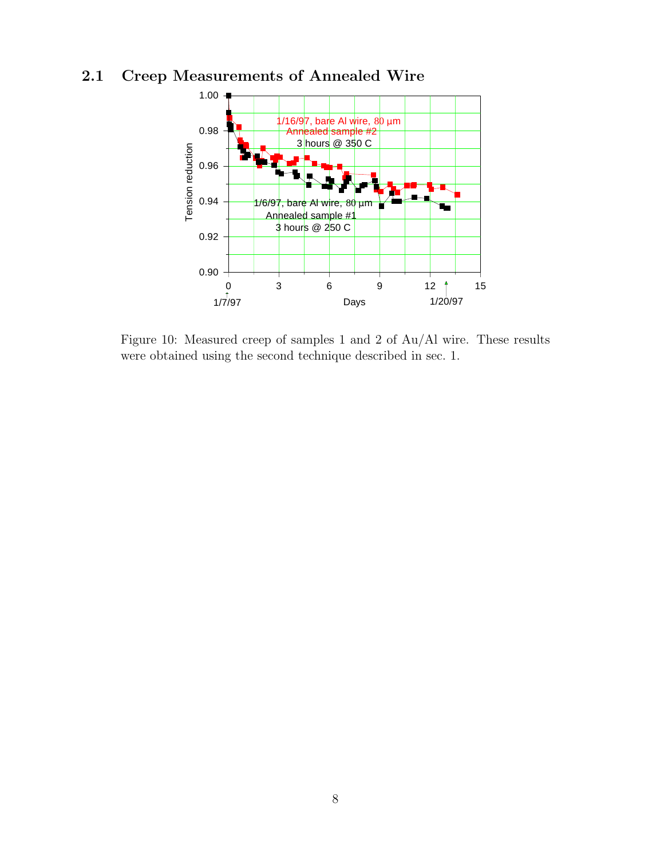# 2.1 Creep Measurements of Annealed Wire



Figure 10: Measured creep of samples 1 and 2 of Au/Al wire. These results were obtained using the second technique described in sec. 1.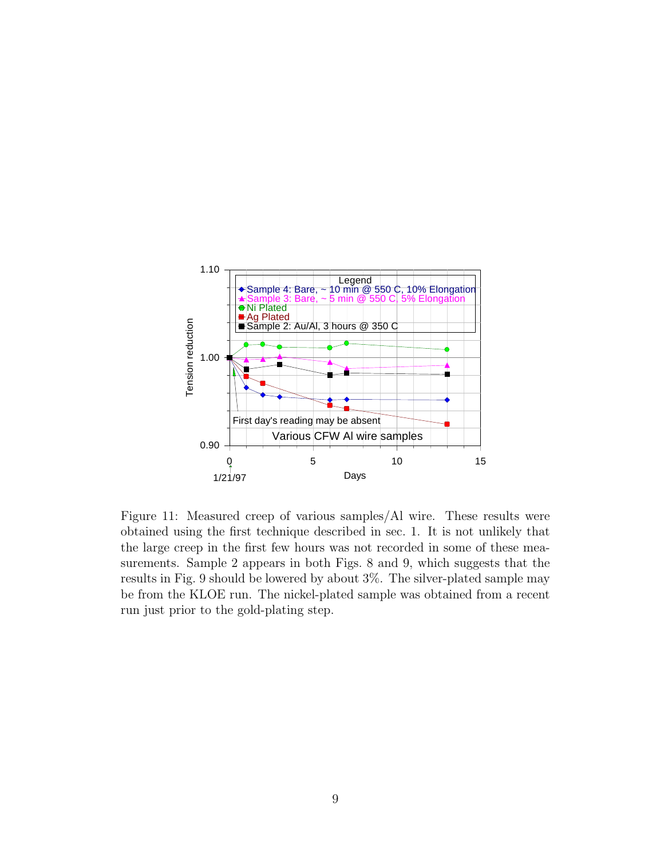

Figure 11: Measured creep of various samples/Al wire. These results were obtained using the first technique described in sec. 1. It is not unlikely that the large creep in the first few hours was not recorded in some of these measurements. Sample 2 appears in both Figs. 8 and 9, which suggests that the results in Fig. 9 should be lowered by about 3%. The silver-plated sample may be from the KLOE run. The nickel-plated sample was obtained from a recent run just prior to the gold-plating step.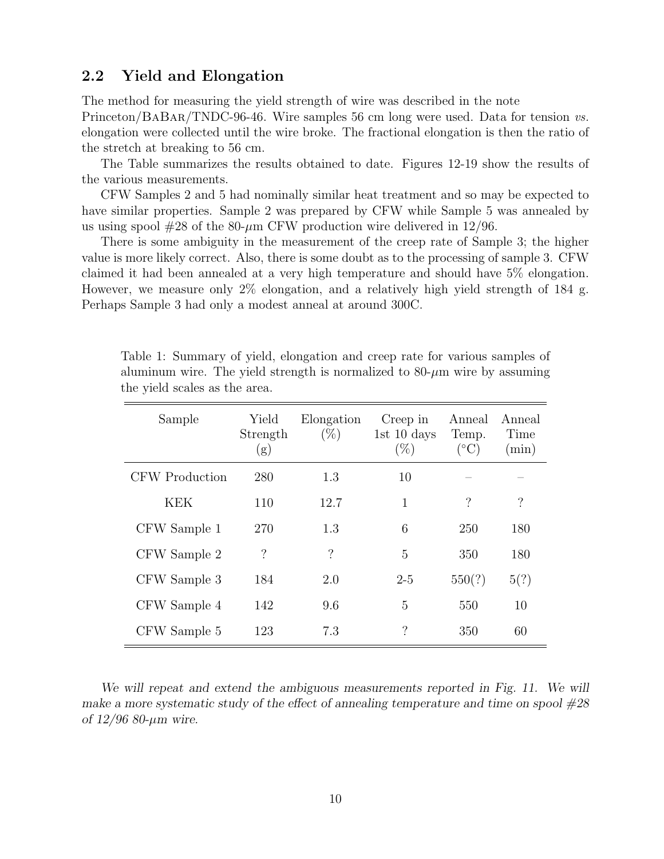#### 2.2 Yield and Elongation

The method for measuring the yield strength of wire was described in the note Princeton/BaBar/TNDC-96-46. Wire samples 56 cm long were used. Data for tension vs. elongation were collected until the wire broke. The fractional elongation is then the ratio of the stretch at breaking to 56 cm.

The Table summarizes the results obtained to date. Figures 12-19 show the results of the various measurements.

CFW Samples 2 and 5 had nominally similar heat treatment and so may be expected to have similar properties. Sample 2 was prepared by CFW while Sample 5 was annealed by us using spool  $#28$  of the 80- $\mu$ m CFW production wire delivered in 12/96.

There is some ambiguity in the measurement of the creep rate of Sample 3; the higher value is more likely correct. Also, there is some doubt as to the processing of sample 3. CFW claimed it had been annealed at a very high temperature and should have 5% elongation. However, we measure only 2% elongation, and a relatively high yield strength of 184 g. Perhaps Sample 3 had only a modest anneal at around 300C.

| Sample         | Yield<br>Strength<br>(g) | Elongation<br>$(\%)$ | Creep in<br>1st $10 \text{ days}$<br>$(\%)$ | Anneal<br>Temp.<br>$({}^{\circ}C)$ | Anneal<br>Time<br>$(\min)$ |
|----------------|--------------------------|----------------------|---------------------------------------------|------------------------------------|----------------------------|
| CFW Production | 280                      | 1.3                  | 10                                          |                                    |                            |
| <b>KEK</b>     | 110                      | 12.7                 | 1                                           | $\gamma$                           | $\overline{\cdot}$         |
| CFW Sample 1   | 270                      | 1.3                  | 6                                           | 250                                | 180                        |
| CFW Sample 2   | $\overline{\mathcal{C}}$ | $\overline{\cdot}$   | 5                                           | 350                                | 180                        |
| CFW Sample 3   | 184                      | 2.0                  | $2 - 5$                                     | 550(?)                             | 5(?)                       |
| CFW Sample 4   | 142                      | 9.6                  | 5                                           | 550                                | 10                         |
| CFW Sample 5   | 123                      | 7.3                  | $\gamma$                                    | 350                                | 60                         |

Table 1: Summary of yield, elongation and creep rate for various samples of aluminum wire. The yield strength is normalized to  $80-\mu m$  wire by assuming the yield scales as the area.

We will repeat and extend the ambiguous measurements reported in Fig. 11. We will make a more systematic study of the effect of annealing temperature and time on spool  $\#28$ of  $12/96$  80- $\mu$ m wire.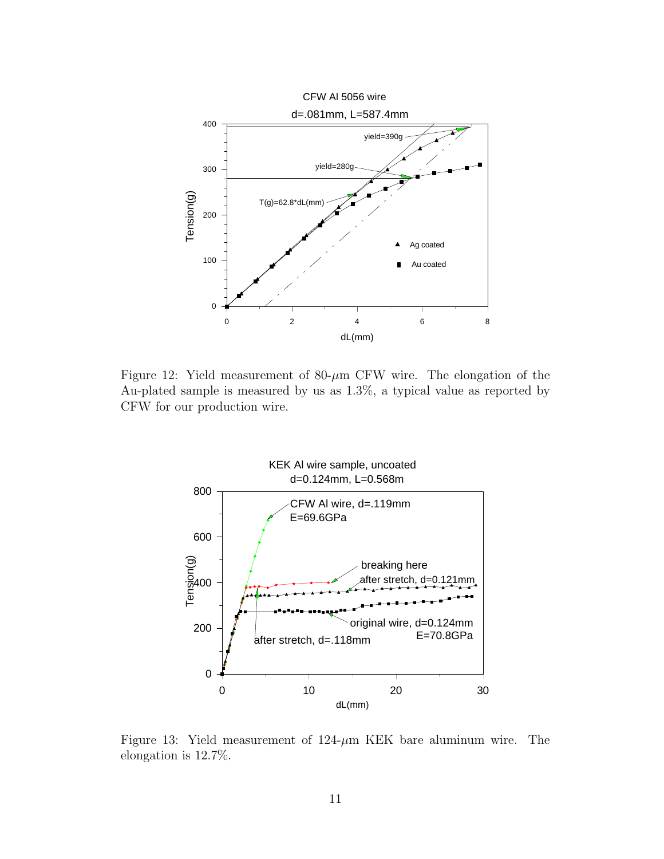

Figure 12: Yield measurement of  $80-\mu m$  CFW wire. The elongation of the Au-plated sample is measured by us as 1.3%, a typical value as reported by CFW for our production wire.



Figure 13: Yield measurement of  $124-\mu m$  KEK bare aluminum wire. The elongation is 12.7%.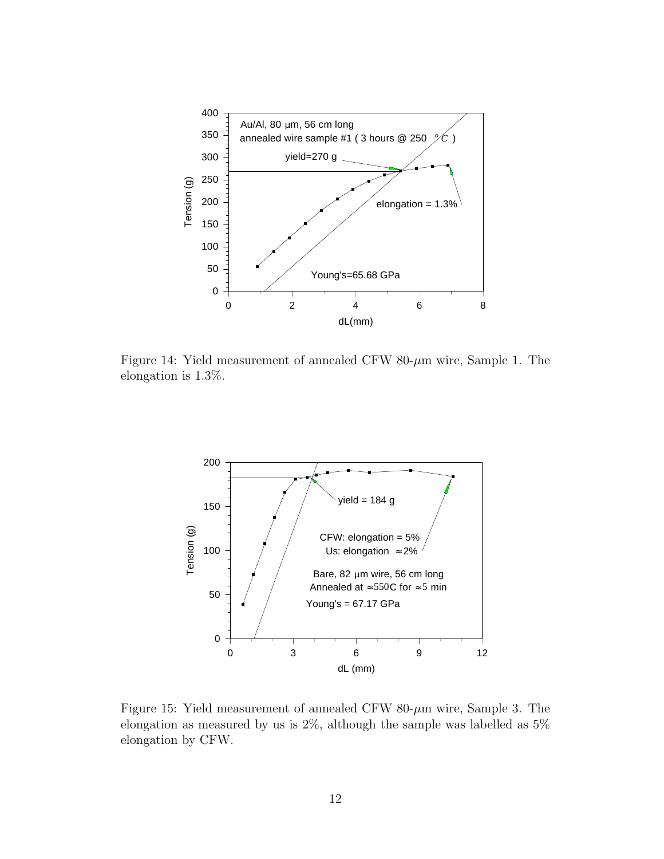

Figure 14: Yield measurement of annealed CFW 80- $\mu$ m wire, Sample 1. The elongation is 1.3%.



Figure 15: Yield measurement of annealed CFW 80- $\mu$ m wire, Sample 3. The elongation as measured by us is 2%, although the sample was labelled as 5% elongation by CFW.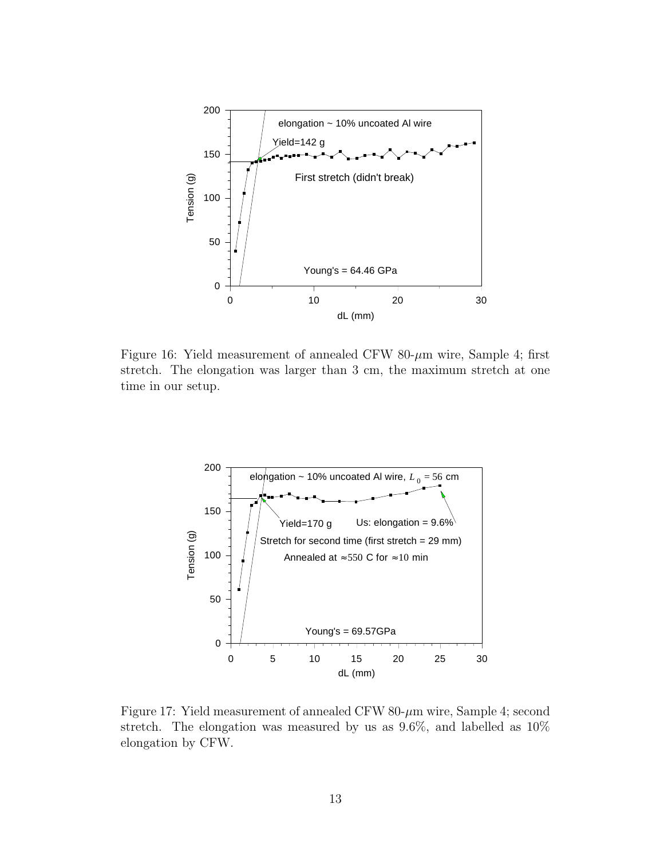

Figure 16: Yield measurement of annealed CFW 80- $\mu$ m wire, Sample 4; first stretch. The elongation was larger than 3 cm, the maximum stretch at one time in our setup.



Figure 17: Yield measurement of annealed CFW 80- $\mu$ m wire, Sample 4; second stretch. The elongation was measured by us as 9.6%, and labelled as 10% elongation by CFW.